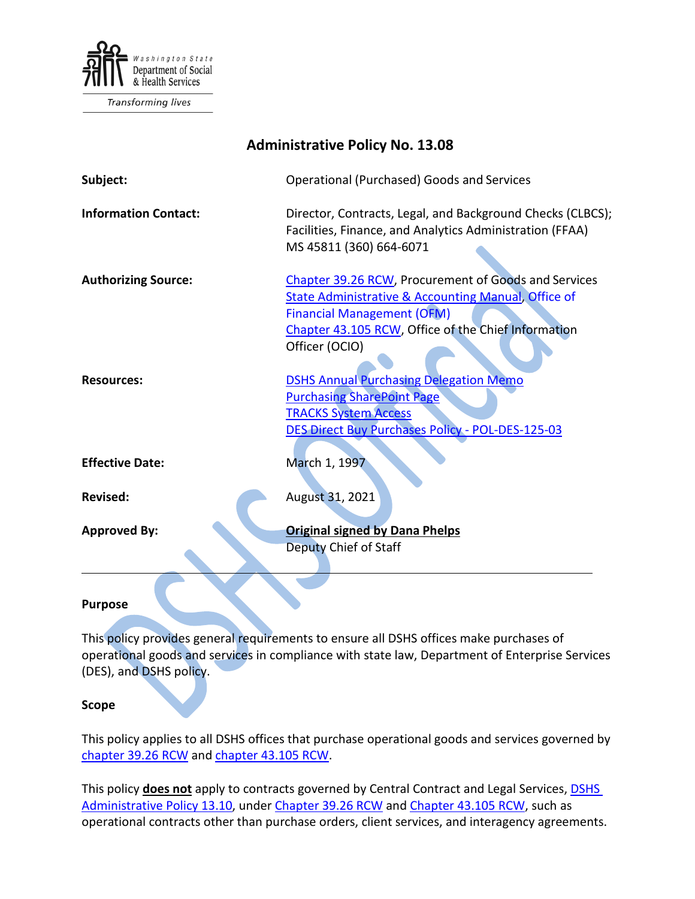

Transforming lives

| <b>Administrative Policy No. 13.08</b> |                                                                                                                                                                                                                                      |
|----------------------------------------|--------------------------------------------------------------------------------------------------------------------------------------------------------------------------------------------------------------------------------------|
| Subject:                               | Operational (Purchased) Goods and Services                                                                                                                                                                                           |
| <b>Information Contact:</b>            | Director, Contracts, Legal, and Background Checks (CLBCS);<br>Facilities, Finance, and Analytics Administration (FFAA)<br>MS 45811 (360) 664-6071                                                                                    |
| <b>Authorizing Source:</b>             | Chapter 39.26 RCW, Procurement of Goods and Services<br><b>State Administrative &amp; Accounting Manual, Office of</b><br><b>Financial Management (OFM)</b><br>Chapter 43.105 RCW, Office of the Chief Information<br>Officer (OCIO) |
| <b>Resources:</b>                      | <b>DSHS Annual Purchasing Delegation Memo</b><br><b>Purchasing SharePoint Page</b><br><b>TRACKS System Access</b><br>DES Direct Buy Purchases Policy - POL-DES-125-03                                                                |
| <b>Effective Date:</b>                 | March 1, 1997                                                                                                                                                                                                                        |
| <b>Revised:</b>                        | August 31, 2021                                                                                                                                                                                                                      |
| <b>Approved By:</b>                    | <b>Original signed by Dana Phelps</b><br>Deputy Chief of Staff                                                                                                                                                                       |

#### **Purpose**

This policy provides general requirements to ensure all DSHS offices make purchases of operational goods and services in compliance with state law, Department of Enterprise Services (DES), and DSHS policy.

#### **Scope**

This policy applies to all DSHS offices that purchase operational goods and services governed by [chapter 39.26 RCW](http://app.leg.wa.gov/rcw/default.aspx?cite=39.26) and [chapter 43.105 RCW.](http://app.leg.wa.gov/rcw/default.aspx?cite=43.105)

This policy **does not** apply to contracts governed by Central Contract and Legal Services, [DSHS](http://one.dshs.wa.lcl/Policies/Administrative/DSHS-AP-13-10.pdf)  [Administrative Policy 13.10,](http://one.dshs.wa.lcl/Policies/Administrative/DSHS-AP-13-10.pdf) under [Chapter 39.26 RCW](http://app.leg.wa.gov/rcw/default.aspx?cite=39.26) and [Chapter 43.105 RCW,](http://app.leg.wa.gov/rcw/default.aspx?cite=43.105) such as operational contracts other than purchase orders, client services, and interagency agreements.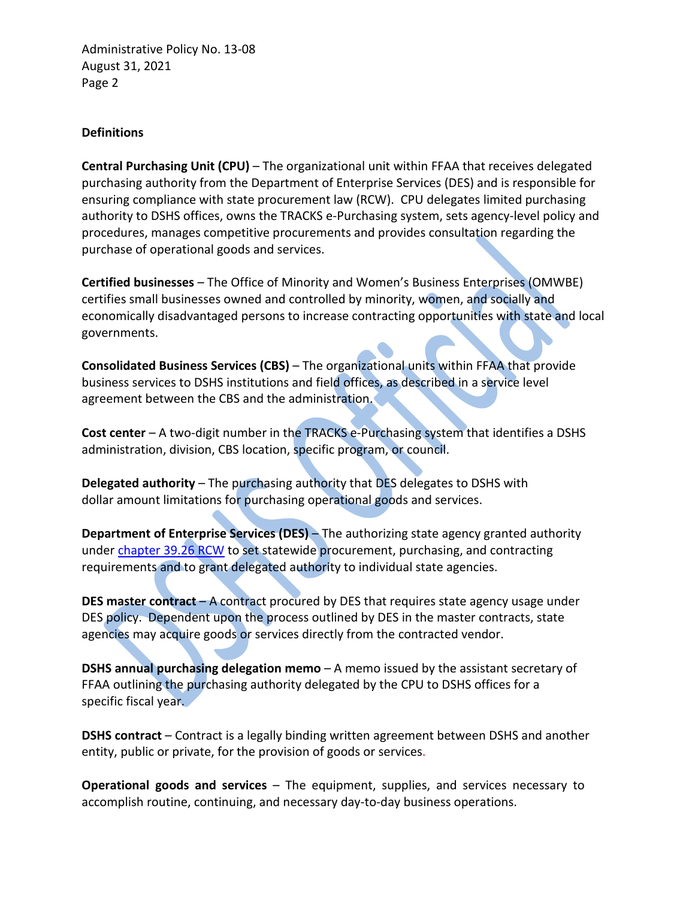#### **Definitions**

**Central Purchasing Unit (CPU)** – The organizational unit within FFAA that receives delegated purchasing authority from the Department of Enterprise Services (DES) and is responsible for ensuring compliance with state procurement law (RCW). CPU delegates limited purchasing authority to DSHS offices, owns the TRACKS e-Purchasing system, sets agency-level policy and procedures, manages competitive procurements and provides consultation regarding the purchase of operational goods and services.

**Certified businesses** – The Office of Minority and Women's Business Enterprises (OMWBE) certifies small businesses owned and controlled by minority, women, and socially and economically disadvantaged persons to increase contracting opportunities with state and local governments.

**Consolidated Business Services (CBS)** – The organizational units within FFAA that provide business services to DSHS institutions and field offices, as described in a service level agreement between the CBS and the administration.

**Cost center** – A two-digit number in the TRACKS e-Purchasing system that identifies a DSHS administration, division, CBS location, specific program, or council.

**Delegated authority** – The purchasing authority that DES delegates to DSHS with dollar amount limitations for purchasing operational goods and services.

**Department of Enterprise Services (DES)** – The authorizing state agency granted authority under [chapter 39.26 RCW](http://app.leg.wa.gov/rcw/default.aspx?cite=39.26) to set statewide procurement, purchasing, and contracting requirements and to grant delegated authority to individual state agencies.

**DES master contract** – A contract procured by DES that requires state agency usage under DES policy. Dependent upon the process outlined by DES in the master contracts, state agencies may acquire goods or services directly from the contracted vendor.

**DSHS annual purchasing delegation memo** – A memo issued by the assistant secretary of FFAA outlining the purchasing authority delegated by the CPU to DSHS offices for a specific fiscal year.

**DSHS contract** – Contract is a legally binding written agreement between DSHS and another entity, public or private, for the provision of goods or services.

**Operational goods and services** – The equipment, supplies, and services necessary to accomplish routine, continuing, and necessary day-to-day business operations.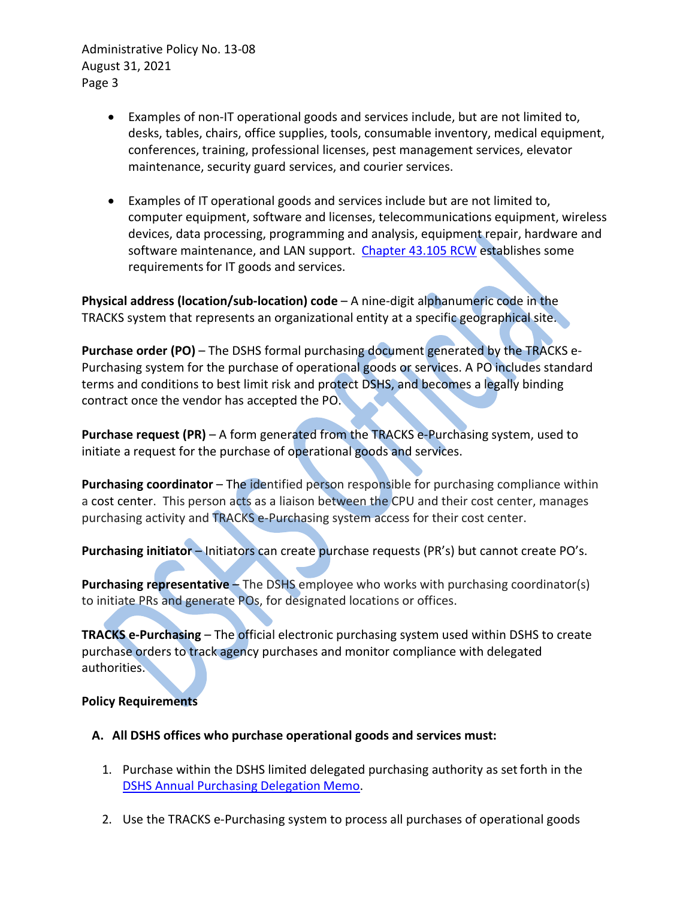- Examples of non-IT operational goods and services include, but are not limited to, desks, tables, chairs, office supplies, tools, consumable inventory, medical equipment, conferences, training, professional licenses, pest management services, elevator maintenance, security guard services, and courier services.
- Examples of IT operational goods and services include but are not limited to, computer equipment, software and licenses, telecommunications equipment, wireless devices, data processing, programming and analysis, equipment repair, hardware and software maintenance, and LAN support. [Chapter 43.105 RCW](http://app.leg.wa.gov/rcw/default.aspx?cite=43.105) establishes some requirements for IT goods and services.

**Physical address (location/sub-location) code** – A nine-digit alphanumeric code in the TRACKS system that represents an organizational entity at a specific geographical site.

**Purchase order (PO)** – The DSHS formal purchasing document generated by the TRACKS e-Purchasing system for the purchase of operational goods or services. A PO includes standard terms and conditions to best limit risk and protect DSHS, and becomes a legally binding contract once the vendor has accepted the PO.

**Purchase request (PR)** – A form generated from the TRACKS e-Purchasing system, used to initiate a request for the purchase of operational goods and services.

**Purchasing coordinator** – The identified person responsible for purchasing compliance within a cost center. This person acts as a liaison between the CPU and their cost center, manages purchasing activity and TRACKS e-Purchasing system access for their cost center.

Purchasing initiator – Initiators can create purchase requests (PR's) but cannot create PO's.

**Purchasing representative – The DSHS employee who works with purchasing coordinator(s)** to initiate PRs and generate POs, for designated locations or offices.

**TRACKS e-Purchasing** – The official electronic purchasing system used within DSHS to create purchase orders to track agency purchases and monitor compliance with delegated authorities.

### **Policy Requirements**

- **A. All DSHS offices who purchase operational goods and services must:**
	- 1. Purchase within the DSHS limited delegated purchasing authority as setforth in the [DSHS Annual Purchasing Delegation](http://one.dshs.wa.lcl/FS/OSS/CPU/Documents/Annual%20Delegation%20Memo%20Signed.pdf) Memo.
	- 2. Use the TRACKS e-Purchasing system to process all purchases of operational goods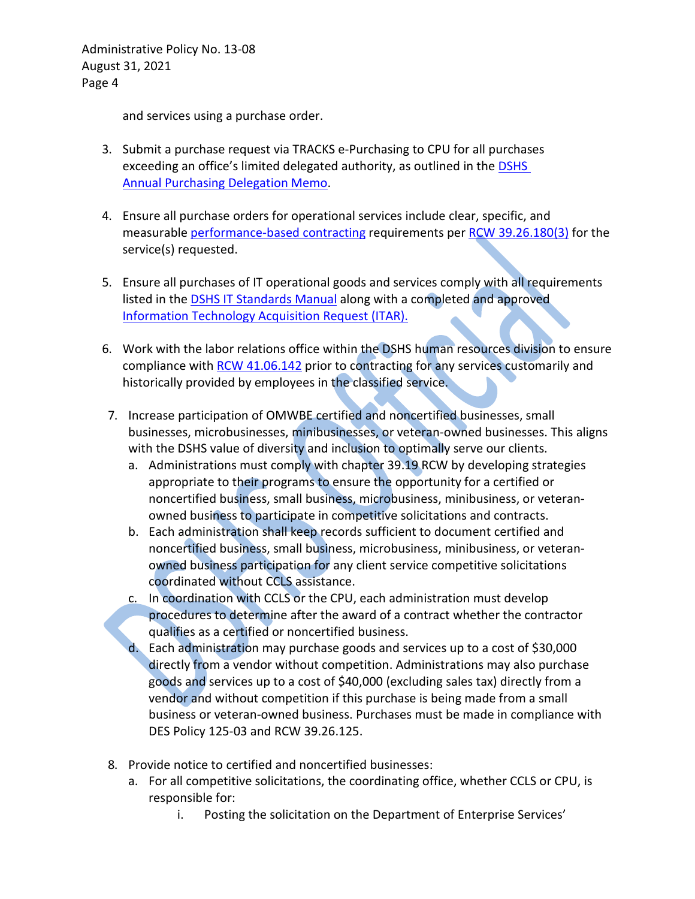and services using a purchase order.

- 3. Submit a purchase request via TRACKS e-Purchasing to CPU for all purchases exceeding an office's limited delegated authority, as outlined in the **DSHS** [Annual](http://one.dshs.wa.lcl/FS/OSS/CPU/Documents/Annual%20Delegation%20Memo%20Signed.pdf) [Purchasing Delegation](http://one.dshs.wa.lcl/FS/OSS/CPU/Documents/Annual%20Delegation%20Memo%20Signed.pdf) Memo.
- 4. Ensure all purchase orders for operational services include clear, specific, and measurable [performance-based contracting](http://one.dshs.wa.lcl/FS/OSS/CPU/Purchasing/Pages/PerformanceBasedContracting.aspx) requirements per [RCW 39.26.180\(3\)](https://apps.leg.wa.gov/rcw/default.aspx?cite=39.26.180) for the service(s) requested.
- 5. Ensure all purchases of IT operational goods and services comply with all requirements listed in the [DSHS IT Standards Manual](http://intra.dshs.wa.lcl/itstandards/categories.stm) along with a completed and approved [Information Technology Acquisition Request \(ITAR\).](http://forms.dshs.wa.lcl/FormDetails.aspx?ID=3215)
- 6. Work with the labor relations office within the DSHS human resources division to ensure compliance with [RCW 41.06.142](https://apps.leg.wa.gov/RCW/default.aspx?cite=41.06.142) prior to contracting for any services customarily and historically provided by employees in the classified service.
- 7. Increase participation of OMWBE certified and noncertified businesses, small businesses, microbusinesses, minibusinesses, or veteran-owned businesses. This aligns with the DSHS value of diversity and inclusion to optimally serve our clients.
	- a. Administrations must comply with chapter 39.19 RCW by developing strategies appropriate to their programs to ensure the opportunity for a certified or noncertified business, small business, microbusiness, minibusiness, or veteranowned business to participate in competitive solicitations and contracts.
	- b. Each administration shall keep records sufficient to document certified and noncertified business, small business, microbusiness, minibusiness, or veteranowned business participation for any client service competitive solicitations coordinated without CCLS assistance.
	- c. In coordination with CCLS or the CPU, each administration must develop procedures to determine after the award of a contract whether the contractor qualifies as a certified or noncertified business.
	- d. Each administration may purchase goods and services up to a cost of \$30,000 directly from a vendor without competition. Administrations may also purchase goods and services up to a cost of \$40,000 (excluding sales tax) directly from a vendor and without competition if this purchase is being made from a small business or veteran-owned business. Purchases must be made in compliance with DES Policy 125-03 and RCW 39.26.125.
- 8. Provide notice to certified and noncertified businesses:
	- a. For all competitive solicitations, the coordinating office, whether CCLS or CPU, is responsible for:
		- i. Posting the solicitation on the Department of Enterprise Services'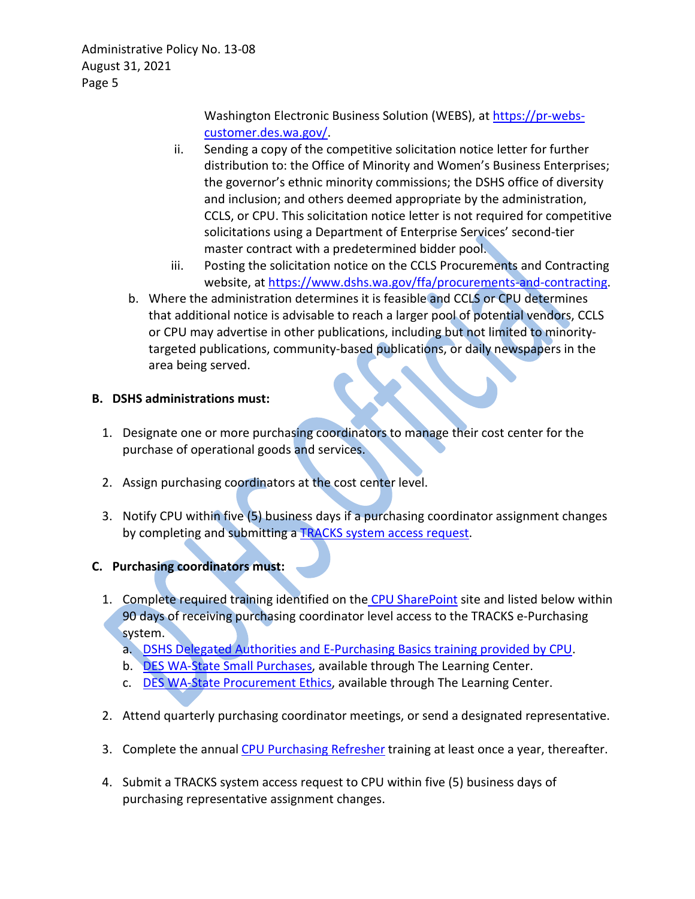> Washington Electronic Business Solution (WEBS), at [https://pr-webs](https://pr-webs-customer.des.wa.gov/)[customer.des.wa.gov/.](https://pr-webs-customer.des.wa.gov/)

- ii. Sending a copy of the competitive solicitation notice letter for further distribution to: the Office of Minority and Women's Business Enterprises; the governor's ethnic minority commissions; the DSHS office of diversity and inclusion; and others deemed appropriate by the administration, CCLS, or CPU. This solicitation notice letter is not required for competitive solicitations using a Department of Enterprise Services' second-tier master contract with a predetermined bidder pool.
- iii. Posting the solicitation notice on the CCLS Procurements and Contracting website, at [https://www.dshs.wa.gov/ffa/procurements-and-contracting.](https://www.dshs.wa.gov/ffa/procurements-and-contracting)
- b. Where the administration determines it is feasible and CCLS or CPU determines that additional notice is advisable to reach a larger pool of potential vendors, CCLS or CPU may advertise in other publications, including but not limited to minoritytargeted publications, community-based publications, or daily newspapers in the area being served.

# **B. DSHS administrations must:**

- 1. Designate one or more purchasing coordinators to manage their cost center for the purchase of operational goods and services.
- 2. Assign purchasing coordinators at the cost center level.
- 3. Notify CPU within five (5) business days if a purchasing coordinator assignment changes by completing and submitting a [TRACKS system access request.](http://one.dshs.wa.lcl/FS/OSS/CPU/Documents/TRACKS%20System%20Access%20-%20ePurchasing.pdf)

# **C. Purchasing coordinators must:**

- 1. Complete required training identified on the [CPU SharePoint](http://one.dshs.wa.lcl/FS/OSS/CPU/Pages/default.aspx) site and listed below within 90 days of receiving purchasing coordinator level access to the TRACKS e-Purchasing system.
	- a. [DSHS Delegated Authorities and E-Purchasing Basics training provided](https://sowa.sumtotal.host/core/dash/home/welcome) by CPU.
	- b. [DES WA-State Small Purchases,](https://sowa.sumtotal.host/core/pillarRedirect?relyingParty=LM&url=app%2Fmanagement%2FLMS_ActDetails.aspx%3FActivityId%3D2371%26UserMode%3D0) available through The Learning Center.
	- c. [DES WA-State Procurement Ethics,](https://sowa.sumtotal.host/core/pillarRedirect?relyingParty=LM&url=app%2Fmanagement%2FLMS_ActDetails.aspx%3FActivityId%3D2363%26UserMode%3D0) available through The Learning Center.
- 2. Attend quarterly purchasing coordinator meetings, or send a designated representative.
- 3. Complete the annual [CPU Purchasing Refresher](https://sowa.sumtotal.host/core/dash/home/welcome) training at least once a year, thereafter.
- 4. Submit a TRACKS system access request to CPU within five (5) business days of purchasing representative assignment changes.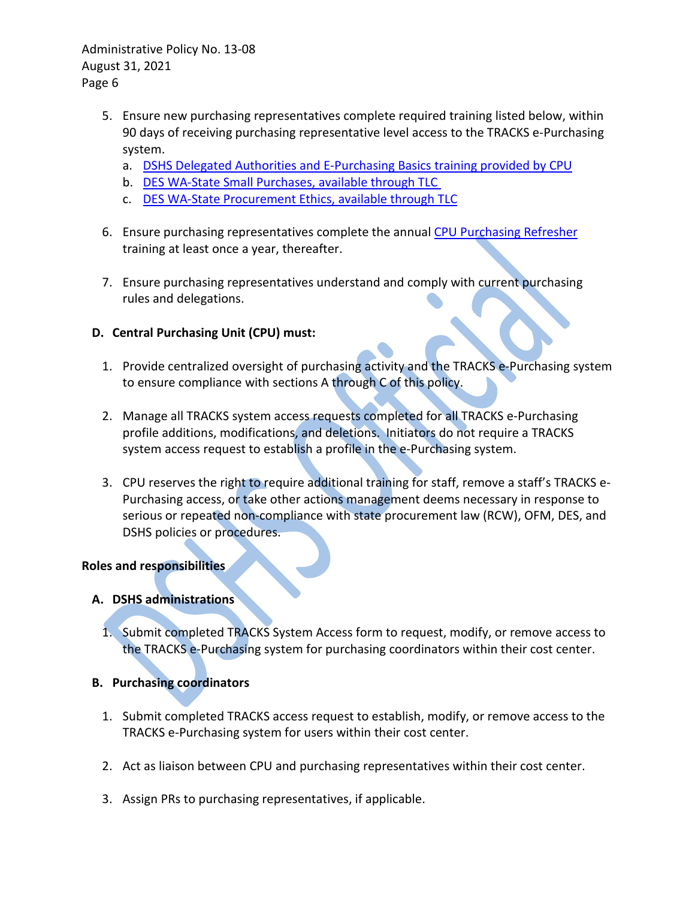- 5. Ensure new purchasing representatives complete required training listed below, within 90 days of receiving purchasing representative level access to the TRACKS e-Purchasing system.
	- a. [DSHS Delegated Authorities and E-Purchasing Basics](https://sowa.sumtotal.host/core/dash/home/welcome) training provided by CPU
	- b. [DES WA-State Small Purchases, available](https://sowa.sumtotal.host/core/dash/home/welcome) through TLC
	- c. [DES WA-State Procurement Ethics, available through TLC](https://sowa.sumtotal.host/core/dash/home/welcome)
- 6. Ensure purchasing representatives complete the annual [CPU Purchasing Refresher](https://sowa.sumtotal.host/core/dash/home/welcome) training at least once a year, thereafter.
- 7. Ensure purchasing representatives understand and comply with current purchasing rules and delegations.

## **D. Central Purchasing Unit (CPU) must:**

- 1. Provide centralized oversight of purchasing activity and the TRACKS e-Purchasing system to ensure compliance with sections A through C of this policy.
- 2. Manage all TRACKS system access requests completed for all TRACKS e-Purchasing profile additions, modifications, and deletions. Initiators do not require a TRACKS system access request to establish a profile in the e-Purchasing system.
- 3. CPU reserves the right to require additional training for staff, remove a staff's TRACKS e-Purchasing access, or take other actions management deems necessary in response to serious or repeated non-compliance with state procurement law (RCW), OFM, DES, and DSHS policies or procedures.

### **Roles and responsibilities**

## **A. DSHS administrations**

1. Submit completed TRACKS System Access form to request, modify, or remove access to the TRACKS e-Purchasing system for purchasing coordinators within their cost center.

### **B. Purchasing coordinators**

- 1. Submit completed TRACKS access request to establish, modify, or remove access to the TRACKS e-Purchasing system for users within their cost center.
- 2. Act as liaison between CPU and purchasing representatives within their cost center.
- 3. Assign PRs to purchasing representatives, if applicable.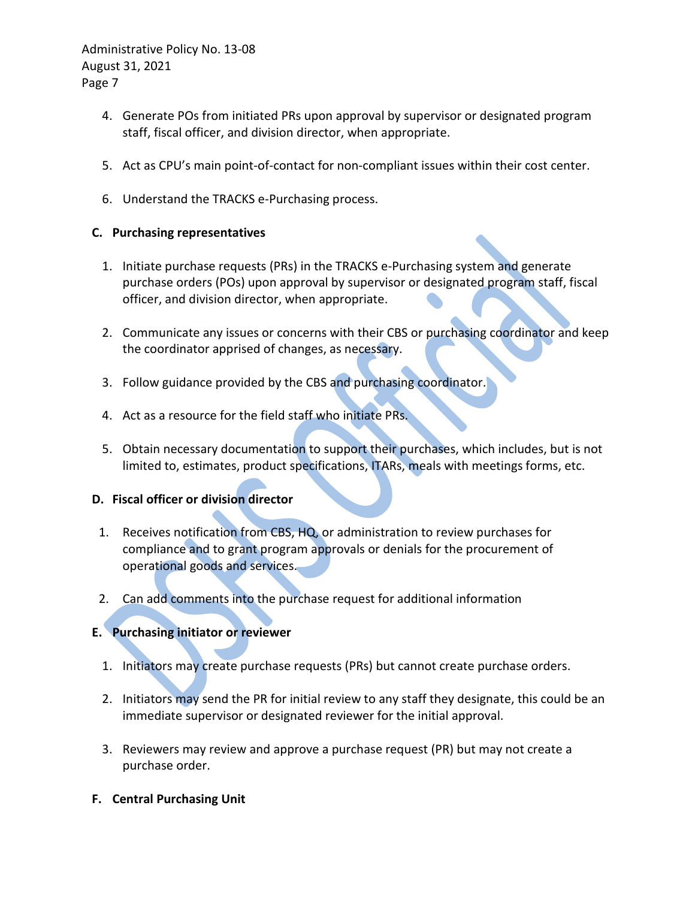- 4. Generate POs from initiated PRs upon approval by supervisor or designated program staff, fiscal officer, and division director, when appropriate.
- 5. Act as CPU's main point-of-contact for non-compliant issues within their cost center.
- 6. Understand the TRACKS e-Purchasing process.

# **C. Purchasing representatives**

- 1. Initiate purchase requests (PRs) in the TRACKS e-Purchasing system and generate purchase orders (POs) upon approval by supervisor or designated program staff, fiscal officer, and division director, when appropriate.
- 2. Communicate any issues or concerns with their CBS or purchasing coordinator and keep the coordinator apprised of changes, as necessary.
- 3. Follow guidance provided by the CBS and purchasing coordinator.
- 4. Act as a resource for the field staff who initiate PRs.
- 5. Obtain necessary documentation to support their purchases, which includes, but is not limited to, estimates, product specifications, ITARs, meals with meetings forms, etc.

# **D. Fiscal officer or division director**

- 1. Receives notification from CBS, HQ, or administration to review purchases for compliance and to grant program approvals or denials for the procurement of operational goods and services.
- 2. Can add comments into the purchase request for additional information

# **E. Purchasing initiator or reviewer**

- 1. Initiators may create purchase requests (PRs) but cannot create purchase orders.
- 2. Initiators may send the PR for initial review to any staff they designate, this could be an immediate supervisor or designated reviewer for the initial approval.
- 3. Reviewers may review and approve a purchase request (PR) but may not create a purchase order.
- **F. Central Purchasing Unit**